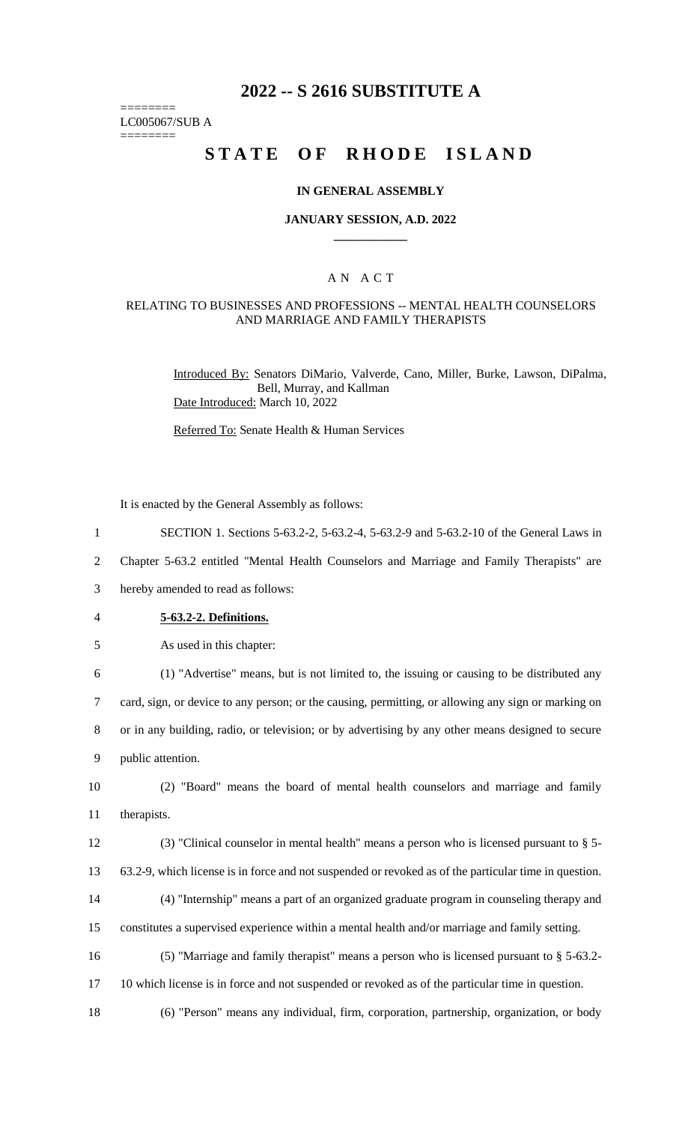# **2022 -- S 2616 SUBSTITUTE A**

======== LC005067/SUB A

========

# **STATE OF RHODE ISLAND**

#### **IN GENERAL ASSEMBLY**

#### **JANUARY SESSION, A.D. 2022 \_\_\_\_\_\_\_\_\_\_\_\_**

## A N A C T

#### RELATING TO BUSINESSES AND PROFESSIONS -- MENTAL HEALTH COUNSELORS AND MARRIAGE AND FAMILY THERAPISTS

Introduced By: Senators DiMario, Valverde, Cano, Miller, Burke, Lawson, DiPalma, Bell, Murray, and Kallman Date Introduced: March 10, 2022

Referred To: Senate Health & Human Services

It is enacted by the General Assembly as follows:

2 Chapter 5-63.2 entitled "Mental Health Counselors and Marriage and Family Therapists" are

3 hereby amended to read as follows:

- 4 **5-63.2-2. Definitions.**
- 5 As used in this chapter:

 (1) "Advertise" means, but is not limited to, the issuing or causing to be distributed any card, sign, or device to any person; or the causing, permitting, or allowing any sign or marking on or in any building, radio, or television; or by advertising by any other means designed to secure public attention.

10 (2) "Board" means the board of mental health counselors and marriage and family 11 therapists.

12 (3) "Clinical counselor in mental health" means a person who is licensed pursuant to § 5- 13 63.2-9, which license is in force and not suspended or revoked as of the particular time in question.

14 (4) "Internship" means a part of an organized graduate program in counseling therapy and

15 constitutes a supervised experience within a mental health and/or marriage and family setting.

16 (5) "Marriage and family therapist" means a person who is licensed pursuant to § 5-63.2-

17 10 which license is in force and not suspended or revoked as of the particular time in question.

18 (6) "Person" means any individual, firm, corporation, partnership, organization, or body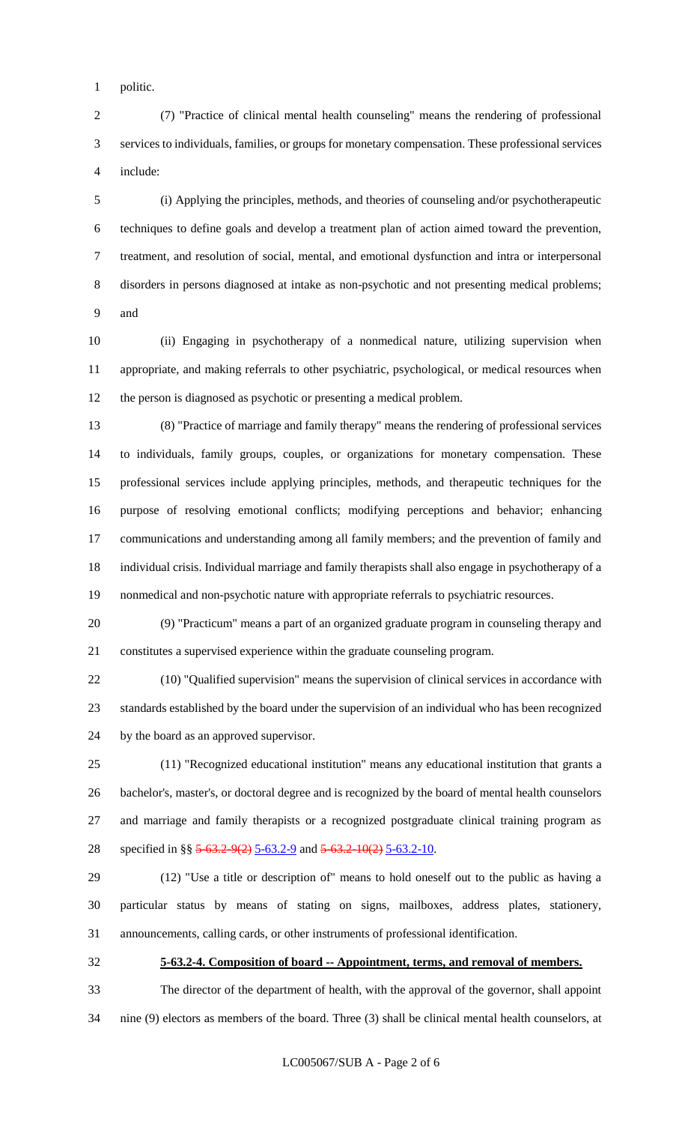politic.

 (7) "Practice of clinical mental health counseling" means the rendering of professional services to individuals, families, or groups for monetary compensation. These professional services include:

 (i) Applying the principles, methods, and theories of counseling and/or psychotherapeutic techniques to define goals and develop a treatment plan of action aimed toward the prevention, treatment, and resolution of social, mental, and emotional dysfunction and intra or interpersonal disorders in persons diagnosed at intake as non-psychotic and not presenting medical problems; and

 (ii) Engaging in psychotherapy of a nonmedical nature, utilizing supervision when appropriate, and making referrals to other psychiatric, psychological, or medical resources when the person is diagnosed as psychotic or presenting a medical problem.

 (8) "Practice of marriage and family therapy" means the rendering of professional services to individuals, family groups, couples, or organizations for monetary compensation. These professional services include applying principles, methods, and therapeutic techniques for the purpose of resolving emotional conflicts; modifying perceptions and behavior; enhancing communications and understanding among all family members; and the prevention of family and individual crisis. Individual marriage and family therapists shall also engage in psychotherapy of a nonmedical and non-psychotic nature with appropriate referrals to psychiatric resources.

 (9) "Practicum" means a part of an organized graduate program in counseling therapy and constitutes a supervised experience within the graduate counseling program.

 (10) "Qualified supervision" means the supervision of clinical services in accordance with standards established by the board under the supervision of an individual who has been recognized by the board as an approved supervisor.

 (11) "Recognized educational institution" means any educational institution that grants a bachelor's, master's, or doctoral degree and is recognized by the board of mental health counselors and marriage and family therapists or a recognized postgraduate clinical training program as 28 specified in §§ 5-63.2-9(2) 5-63.2-9 and 5-63.2-10(2) 5-63.2-10.

 (12) "Use a title or description of" means to hold oneself out to the public as having a particular status by means of stating on signs, mailboxes, address plates, stationery, announcements, calling cards, or other instruments of professional identification.

**5-63.2-4. Composition of board -- Appointment, terms, and removal of members.**

 The director of the department of health, with the approval of the governor, shall appoint nine (9) electors as members of the board. Three (3) shall be clinical mental health counselors, at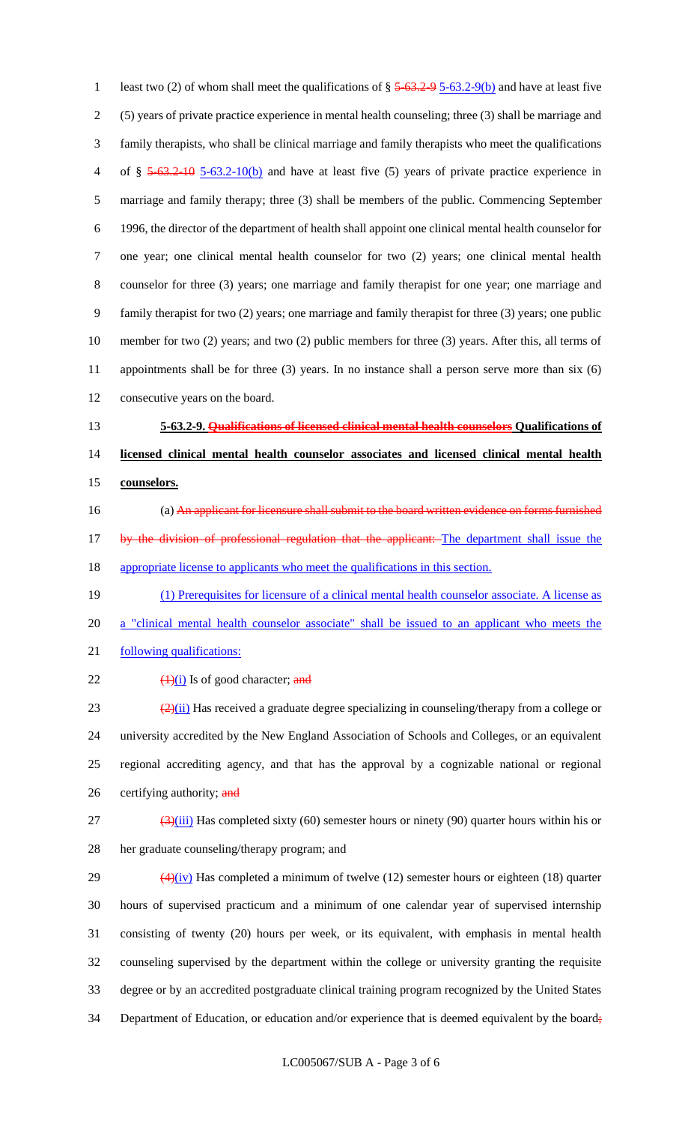1 least two (2) of whom shall meet the qualifications of  $\S 5-63.2-95-63.2-9(b)$  and have at least five (5) years of private practice experience in mental health counseling; three (3) shall be marriage and family therapists, who shall be clinical marriage and family therapists who meet the qualifications 4 of  $\S$  5-63.2-10 5-63.2-10(b) and have at least five (5) years of private practice experience in marriage and family therapy; three (3) shall be members of the public. Commencing September 1996, the director of the department of health shall appoint one clinical mental health counselor for one year; one clinical mental health counselor for two (2) years; one clinical mental health counselor for three (3) years; one marriage and family therapist for one year; one marriage and family therapist for two (2) years; one marriage and family therapist for three (3) years; one public member for two (2) years; and two (2) public members for three (3) years. After this, all terms of appointments shall be for three (3) years. In no instance shall a person serve more than six (6) consecutive years on the board. **5-63.2-9. Qualifications of licensed clinical mental health counselors Qualifications of licensed clinical mental health counselor associates and licensed clinical mental health counselors.** (a) An applicant for licensure shall submit to the board written evidence on forms furnished 17 by the division of professional regulation that the applicant: The department shall issue the appropriate license to applicants who meet the qualifications in this section. (1) Prerequisites for licensure of a clinical mental health counselor associate. A license as 20 a "clinical mental health counselor associate" shall be issued to an applicant who meets the 21 following qualifications:  $\left(\frac{1}{1}\right)$  Is of good character; and  $\left( \frac{2}{i} \right)$  Has received a graduate degree specializing in counseling/therapy from a college or university accredited by the New England Association of Schools and Colleges, or an equivalent regional accrediting agency, and that has the approval by a cognizable national or regional 26 certifying authority; and  $\frac{(3)(iii)}{27}$  Has completed sixty (60) semester hours or ninety (90) quarter hours within his or her graduate counseling/therapy program; and

 $\left(4\right)\left(iv\right)$  Has completed a minimum of twelve (12) semester hours or eighteen (18) quarter hours of supervised practicum and a minimum of one calendar year of supervised internship consisting of twenty (20) hours per week, or its equivalent, with emphasis in mental health counseling supervised by the department within the college or university granting the requisite degree or by an accredited postgraduate clinical training program recognized by the United States 34 Department of Education, or education and/or experience that is deemed equivalent by the board;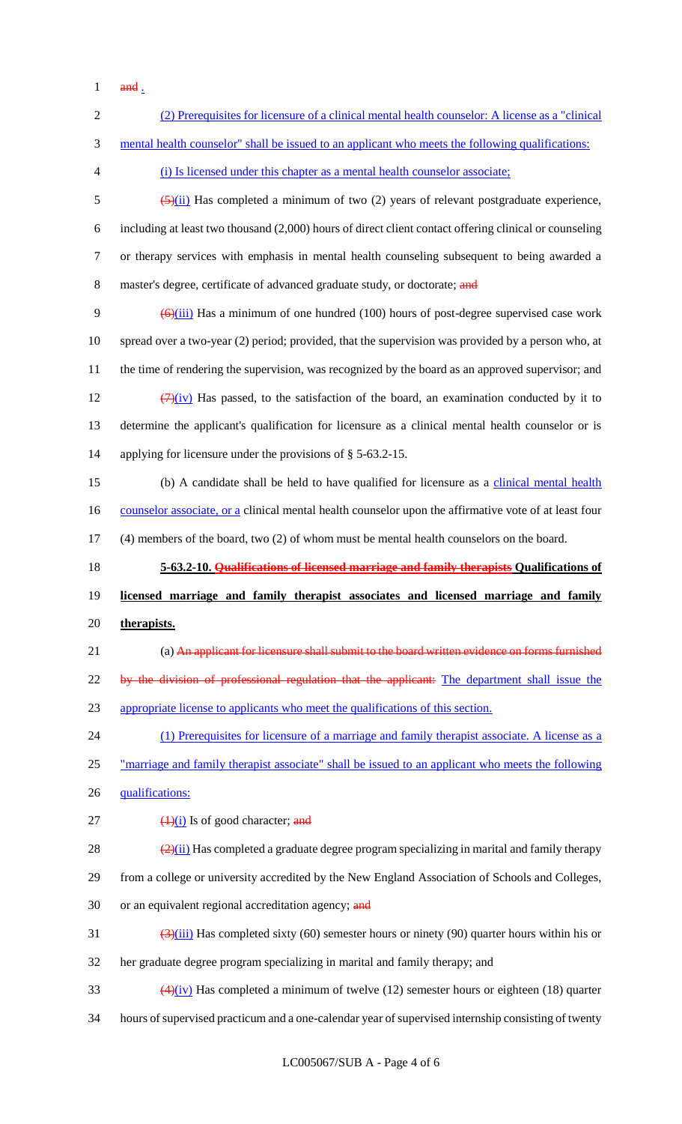and  $\frac{1}{2}$ 

| $\overline{2}$ | (2) Prerequisites for licensure of a clinical mental health counselor: A license as a "clinical"                                 |
|----------------|----------------------------------------------------------------------------------------------------------------------------------|
| 3              | mental health counselor" shall be issued to an applicant who meets the following qualifications:                                 |
| 4              | (i) Is licensed under this chapter as a mental health counselor associate;                                                       |
| 5              | $\frac{5}{2}$ (ii) Has completed a minimum of two (2) years of relevant postgraduate experience,                                 |
| 6              | including at least two thousand (2,000) hours of direct client contact offering clinical or counseling                           |
| $\tau$         | or therapy services with emphasis in mental health counseling subsequent to being awarded a                                      |
| 8              | master's degree, certificate of advanced graduate study, or doctorate; and                                                       |
| 9              | $\left(\frac{6}{111}\right)$ Has a minimum of one hundred (100) hours of post-degree supervised case work                        |
| 10             | spread over a two-year (2) period; provided, that the supervision was provided by a person who, at                               |
| 11             | the time of rendering the supervision, was recognized by the board as an approved supervisor; and                                |
| 12             | $\left(\frac{7}{2}\right)$ Has passed, to the satisfaction of the board, an examination conducted by it to                       |
| 13             | determine the applicant's qualification for licensure as a clinical mental health counselor or is                                |
| 14             | applying for licensure under the provisions of $\S$ 5-63.2-15.                                                                   |
| 15             | (b) A candidate shall be held to have qualified for licensure as a clinical mental health                                        |
| 16             | counselor associate, or a clinical mental health counselor upon the affirmative vote of at least four                            |
| 17             | (4) members of the board, two (2) of whom must be mental health counselors on the board.                                         |
|                |                                                                                                                                  |
| 18             | 5-63.2-10. Qualifications of licensed marriage and family therapists Qualifications of                                           |
| 19             | licensed marriage and family therapist associates and licensed marriage and family                                               |
| 20             | therapists.                                                                                                                      |
| 21             | (a) An applicant for licensure shall submit to the board written evidence on forms furnished                                     |
| 22             | by the division of professional regulation that the applicant: The department shall issue the                                    |
| 23             | appropriate license to applicants who meet the qualifications of this section.                                                   |
| 24             | (1) Prerequisites for licensure of a marriage and family therapist associate. A license as a                                     |
| 25             | "marriage and family therapist associate" shall be issued to an applicant who meets the following                                |
| 26             | qualifications:                                                                                                                  |
| 27             | $\frac{1}{1}$ Is of good character; and                                                                                          |
| 28             | $\frac{2(2)(ii)}{2}$ Has completed a graduate degree program specializing in marital and family therapy                          |
| 29             | from a college or university accredited by the New England Association of Schools and Colleges,                                  |
| 30             | or an equivalent regional accreditation agency; and                                                                              |
| 31             | $\frac{(\lambda)(iii)}{(\lambda)(iv)}$ Has completed sixty (60) semester hours or ninety (90) quarter hours within his or        |
| 32             | her graduate degree program specializing in marital and family therapy; and                                                      |
| 33             | $\frac{4 \lambda_{\text{1}}}{\lambda_{\text{2}}}$ Has completed a minimum of twelve (12) semester hours or eighteen (18) quarter |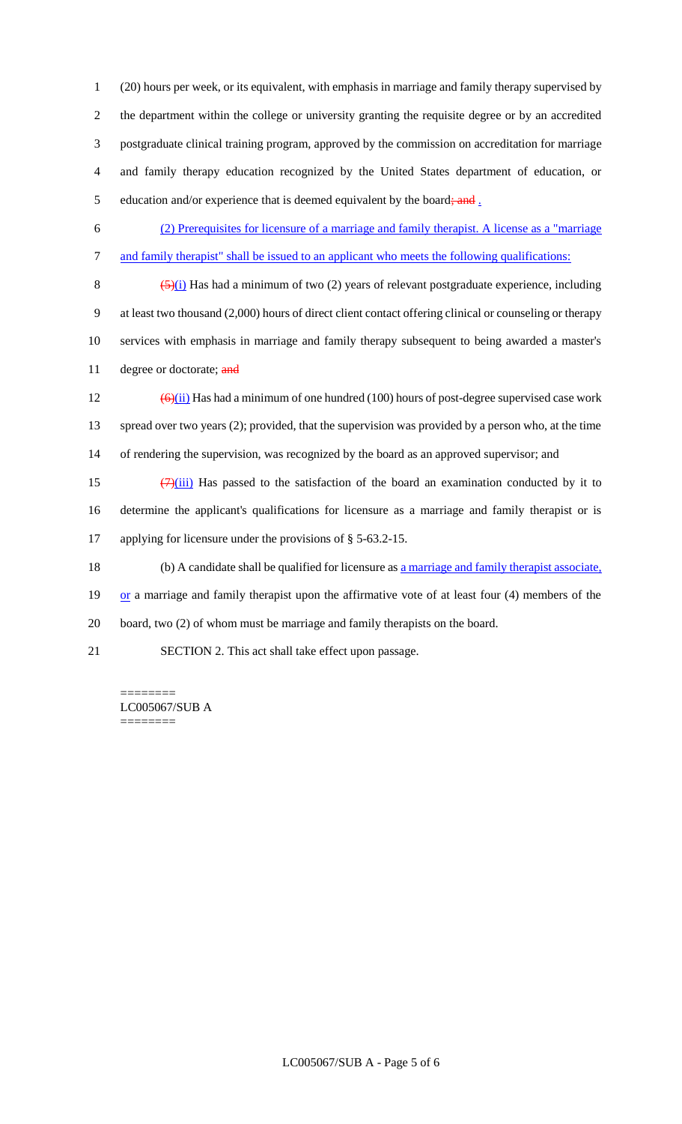(20) hours per week, or its equivalent, with emphasis in marriage and family therapy supervised by the department within the college or university granting the requisite degree or by an accredited postgraduate clinical training program, approved by the commission on accreditation for marriage and family therapy education recognized by the United States department of education, or 5 education and/or experience that is deemed equivalent by the board; and  $\frac{1}{2}$ 

- 6 (2) Prerequisites for licensure of a marriage and family therapist. A license as a "marriage 7 and family therapist" shall be issued to an applicant who meets the following qualifications:
- 8  $(5)(i)$  Has had a minimum of two (2) years of relevant postgraduate experience, including 9 at least two thousand (2,000) hours of direct client contact offering clinical or counseling or therapy 10 services with emphasis in marriage and family therapy subsequent to being awarded a master's 11 degree or doctorate; and
- 12  $\left(\frac{\Theta}{ii}\right)$  Has had a minimum of one hundred (100) hours of post-degree supervised case work 13 spread over two years (2); provided, that the supervision was provided by a person who, at the time 14 of rendering the supervision, was recognized by the board as an approved supervisor; and
- 15  $(7)(iii)$  Has passed to the satisfaction of the board an examination conducted by it to 16 determine the applicant's qualifications for licensure as a marriage and family therapist or is 17 applying for licensure under the provisions of § 5-63.2-15.
- 18 (b) A candidate shall be qualified for licensure as a marriage and family therapist associate, 19 or a marriage and family therapist upon the affirmative vote of at least four (4) members of the
- 20 board, two (2) of whom must be marriage and family therapists on the board.
- 21 SECTION 2. This act shall take effect upon passage.

======== LC005067/SUB A ========